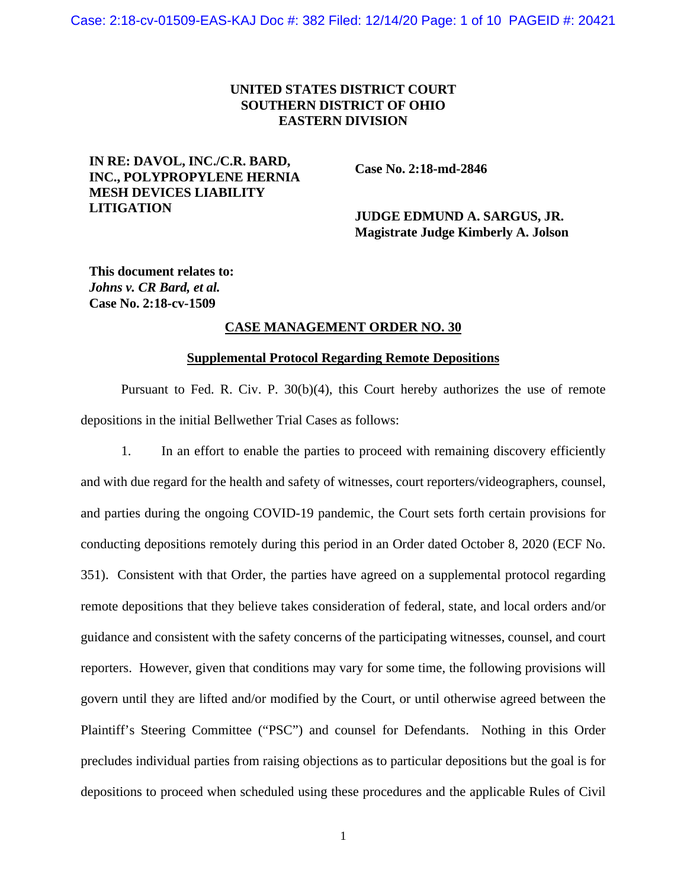# **UNITED STATES DISTRICT COURT SOUTHERN DISTRICT OF OHIO EASTERN DIVISION**

# **IN RE: DAVOL, INC./C.R. BARD, INC., POLYPROPYLENE HERNIA MESH DEVICES LIABILITY LITIGATION**

**Case No. 2:18-md-2846**

# **JUDGE EDMUND A. SARGUS, JR. Magistrate Judge Kimberly A. Jolson**

**This document relates to:**  *Johns v. CR Bard, et al.* **Case No. 2:18-cv-1509**

# **CASE MANAGEMENT ORDER NO. 30**

#### **Supplemental Protocol Regarding Remote Depositions**

Pursuant to Fed. R. Civ. P. 30(b)(4), this Court hereby authorizes the use of remote depositions in the initial Bellwether Trial Cases as follows:

1. In an effort to enable the parties to proceed with remaining discovery efficiently and with due regard for the health and safety of witnesses, court reporters/videographers, counsel, and parties during the ongoing COVID-19 pandemic, the Court sets forth certain provisions for conducting depositions remotely during this period in an Order dated October 8, 2020 (ECF No. 351). Consistent with that Order, the parties have agreed on a supplemental protocol regarding remote depositions that they believe takes consideration of federal, state, and local orders and/or guidance and consistent with the safety concerns of the participating witnesses, counsel, and court reporters. However, given that conditions may vary for some time, the following provisions will govern until they are lifted and/or modified by the Court, or until otherwise agreed between the Plaintiff's Steering Committee ("PSC") and counsel for Defendants. Nothing in this Order precludes individual parties from raising objections as to particular depositions but the goal is for depositions to proceed when scheduled using these procedures and the applicable Rules of Civil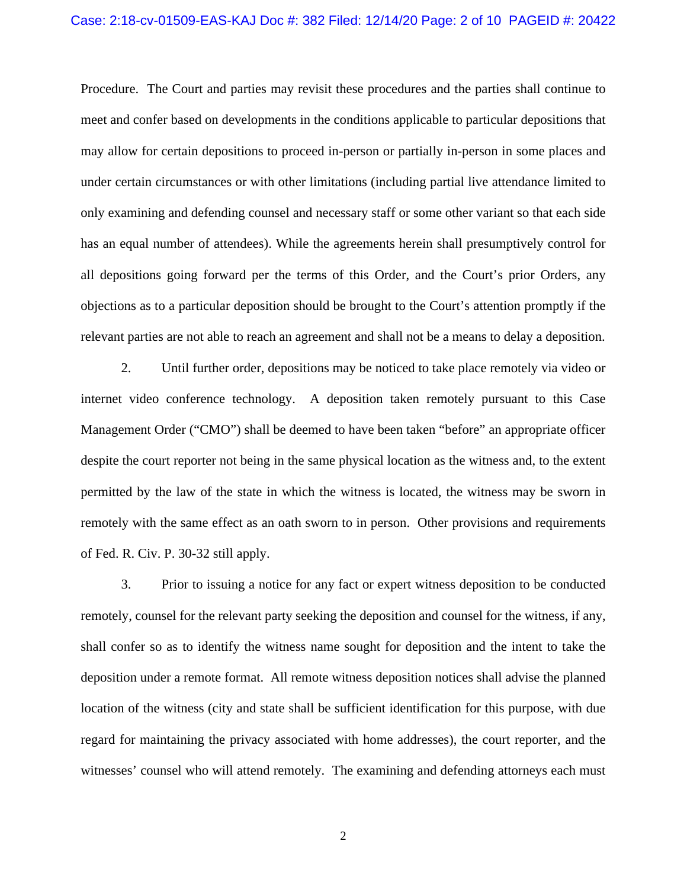Procedure. The Court and parties may revisit these procedures and the parties shall continue to meet and confer based on developments in the conditions applicable to particular depositions that may allow for certain depositions to proceed in-person or partially in-person in some places and under certain circumstances or with other limitations (including partial live attendance limited to only examining and defending counsel and necessary staff or some other variant so that each side has an equal number of attendees). While the agreements herein shall presumptively control for all depositions going forward per the terms of this Order, and the Court's prior Orders, any objections as to a particular deposition should be brought to the Court's attention promptly if the relevant parties are not able to reach an agreement and shall not be a means to delay a deposition.

2. Until further order, depositions may be noticed to take place remotely via video or internet video conference technology. A deposition taken remotely pursuant to this Case Management Order ("CMO") shall be deemed to have been taken "before" an appropriate officer despite the court reporter not being in the same physical location as the witness and, to the extent permitted by the law of the state in which the witness is located, the witness may be sworn in remotely with the same effect as an oath sworn to in person. Other provisions and requirements of Fed. R. Civ. P. 30-32 still apply.

3. Prior to issuing a notice for any fact or expert witness deposition to be conducted remotely, counsel for the relevant party seeking the deposition and counsel for the witness, if any, shall confer so as to identify the witness name sought for deposition and the intent to take the deposition under a remote format. All remote witness deposition notices shall advise the planned location of the witness (city and state shall be sufficient identification for this purpose, with due regard for maintaining the privacy associated with home addresses), the court reporter, and the witnesses' counsel who will attend remotely. The examining and defending attorneys each must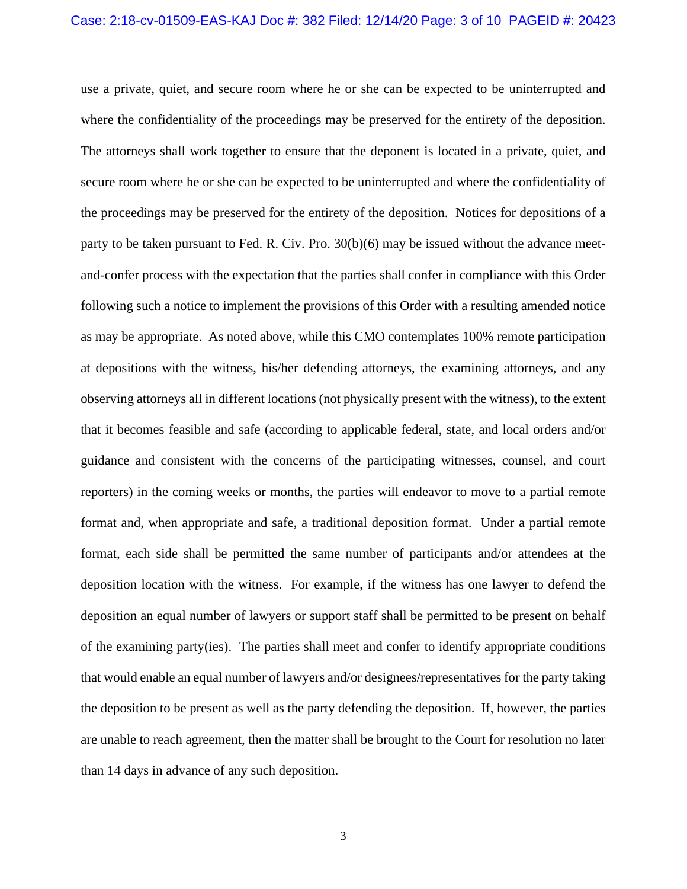use a private, quiet, and secure room where he or she can be expected to be uninterrupted and where the confidentiality of the proceedings may be preserved for the entirety of the deposition. The attorneys shall work together to ensure that the deponent is located in a private, quiet, and secure room where he or she can be expected to be uninterrupted and where the confidentiality of the proceedings may be preserved for the entirety of the deposition. Notices for depositions of a party to be taken pursuant to Fed. R. Civ. Pro. 30(b)(6) may be issued without the advance meetand-confer process with the expectation that the parties shall confer in compliance with this Order following such a notice to implement the provisions of this Order with a resulting amended notice as may be appropriate. As noted above, while this CMO contemplates 100% remote participation at depositions with the witness, his/her defending attorneys, the examining attorneys, and any observing attorneys all in different locations (not physically present with the witness), to the extent that it becomes feasible and safe (according to applicable federal, state, and local orders and/or guidance and consistent with the concerns of the participating witnesses, counsel, and court reporters) in the coming weeks or months, the parties will endeavor to move to a partial remote format and, when appropriate and safe, a traditional deposition format. Under a partial remote format, each side shall be permitted the same number of participants and/or attendees at the deposition location with the witness. For example, if the witness has one lawyer to defend the deposition an equal number of lawyers or support staff shall be permitted to be present on behalf of the examining party(ies). The parties shall meet and confer to identify appropriate conditions that would enable an equal number of lawyers and/or designees/representatives for the party taking the deposition to be present as well as the party defending the deposition. If, however, the parties are unable to reach agreement, then the matter shall be brought to the Court for resolution no later than 14 days in advance of any such deposition.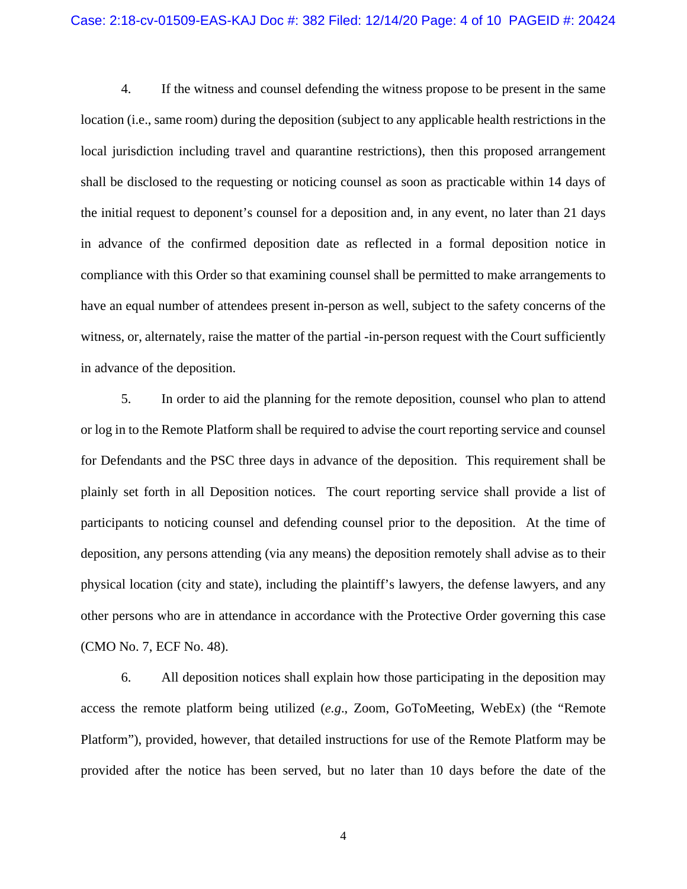#### Case: 2:18-cv-01509-EAS-KAJ Doc #: 382 Filed: 12/14/20 Page: 4 of 10 PAGEID #: 20424

4. If the witness and counsel defending the witness propose to be present in the same location (i.e., same room) during the deposition (subject to any applicable health restrictions in the local jurisdiction including travel and quarantine restrictions), then this proposed arrangement shall be disclosed to the requesting or noticing counsel as soon as practicable within 14 days of the initial request to deponent's counsel for a deposition and, in any event, no later than 21 days in advance of the confirmed deposition date as reflected in a formal deposition notice in compliance with this Order so that examining counsel shall be permitted to make arrangements to have an equal number of attendees present in-person as well, subject to the safety concerns of the witness, or, alternately, raise the matter of the partial -in-person request with the Court sufficiently in advance of the deposition.

5. In order to aid the planning for the remote deposition, counsel who plan to attend or log in to the Remote Platform shall be required to advise the court reporting service and counsel for Defendants and the PSC three days in advance of the deposition. This requirement shall be plainly set forth in all Deposition notices. The court reporting service shall provide a list of participants to noticing counsel and defending counsel prior to the deposition. At the time of deposition, any persons attending (via any means) the deposition remotely shall advise as to their physical location (city and state), including the plaintiff's lawyers, the defense lawyers, and any other persons who are in attendance in accordance with the Protective Order governing this case (CMO No. 7, ECF No. 48).

6. All deposition notices shall explain how those participating in the deposition may access the remote platform being utilized (*e.g*., Zoom, GoToMeeting, WebEx) (the "Remote Platform"), provided, however, that detailed instructions for use of the Remote Platform may be provided after the notice has been served, but no later than 10 days before the date of the

4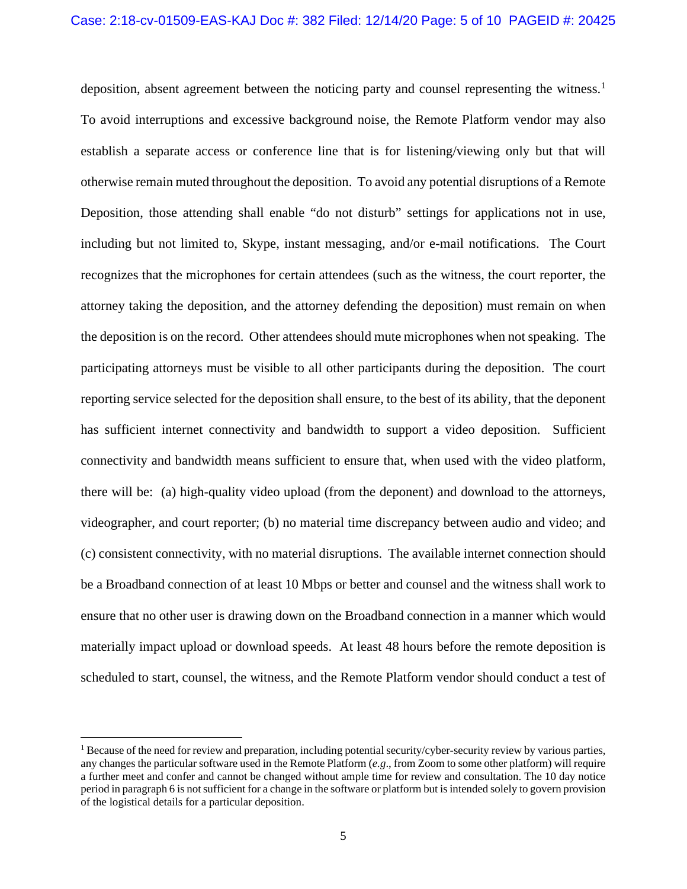deposition, absent agreement between the noticing party and counsel representing the witness.<sup>[1](#page-4-0)</sup> To avoid interruptions and excessive background noise, the Remote Platform vendor may also establish a separate access or conference line that is for listening/viewing only but that will otherwise remain muted throughout the deposition. To avoid any potential disruptions of a Remote Deposition, those attending shall enable "do not disturb" settings for applications not in use, including but not limited to, Skype, instant messaging, and/or e-mail notifications. The Court recognizes that the microphones for certain attendees (such as the witness, the court reporter, the attorney taking the deposition, and the attorney defending the deposition) must remain on when the deposition is on the record. Other attendees should mute microphones when not speaking. The participating attorneys must be visible to all other participants during the deposition. The court reporting service selected for the deposition shall ensure, to the best of its ability, that the deponent has sufficient internet connectivity and bandwidth to support a video deposition. Sufficient connectivity and bandwidth means sufficient to ensure that, when used with the video platform, there will be: (a) high-quality video upload (from the deponent) and download to the attorneys, videographer, and court reporter; (b) no material time discrepancy between audio and video; and (c) consistent connectivity, with no material disruptions. The available internet connection should be a Broadband connection of at least 10 Mbps or better and counsel and the witness shall work to ensure that no other user is drawing down on the Broadband connection in a manner which would materially impact upload or download speeds. At least 48 hours before the remote deposition is scheduled to start, counsel, the witness, and the Remote Platform vendor should conduct a test of

<span id="page-4-0"></span><sup>&</sup>lt;sup>1</sup> Because of the need for review and preparation, including potential security/cyber-security review by various parties, any changes the particular software used in the Remote Platform (*e.g*., from Zoom to some other platform) will require a further meet and confer and cannot be changed without ample time for review and consultation. The 10 day notice period in paragraph 6 is not sufficient for a change in the software or platform but is intended solely to govern provision of the logistical details for a particular deposition.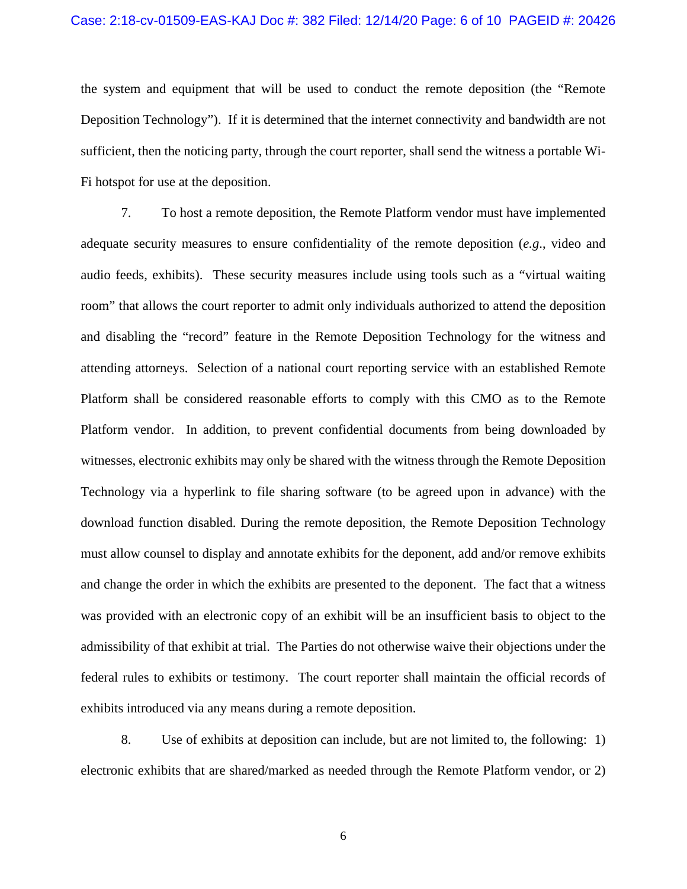the system and equipment that will be used to conduct the remote deposition (the "Remote Deposition Technology"). If it is determined that the internet connectivity and bandwidth are not sufficient, then the noticing party, through the court reporter, shall send the witness a portable Wi-Fi hotspot for use at the deposition.

7. To host a remote deposition, the Remote Platform vendor must have implemented adequate security measures to ensure confidentiality of the remote deposition (*e.g*., video and audio feeds, exhibits). These security measures include using tools such as a "virtual waiting room" that allows the court reporter to admit only individuals authorized to attend the deposition and disabling the "record" feature in the Remote Deposition Technology for the witness and attending attorneys. Selection of a national court reporting service with an established Remote Platform shall be considered reasonable efforts to comply with this CMO as to the Remote Platform vendor. In addition, to prevent confidential documents from being downloaded by witnesses, electronic exhibits may only be shared with the witness through the Remote Deposition Technology via a hyperlink to file sharing software (to be agreed upon in advance) with the download function disabled. During the remote deposition, the Remote Deposition Technology must allow counsel to display and annotate exhibits for the deponent, add and/or remove exhibits and change the order in which the exhibits are presented to the deponent. The fact that a witness was provided with an electronic copy of an exhibit will be an insufficient basis to object to the admissibility of that exhibit at trial. The Parties do not otherwise waive their objections under the federal rules to exhibits or testimony. The court reporter shall maintain the official records of exhibits introduced via any means during a remote deposition.

8. Use of exhibits at deposition can include, but are not limited to, the following: 1) electronic exhibits that are shared/marked as needed through the Remote Platform vendor, or 2)

6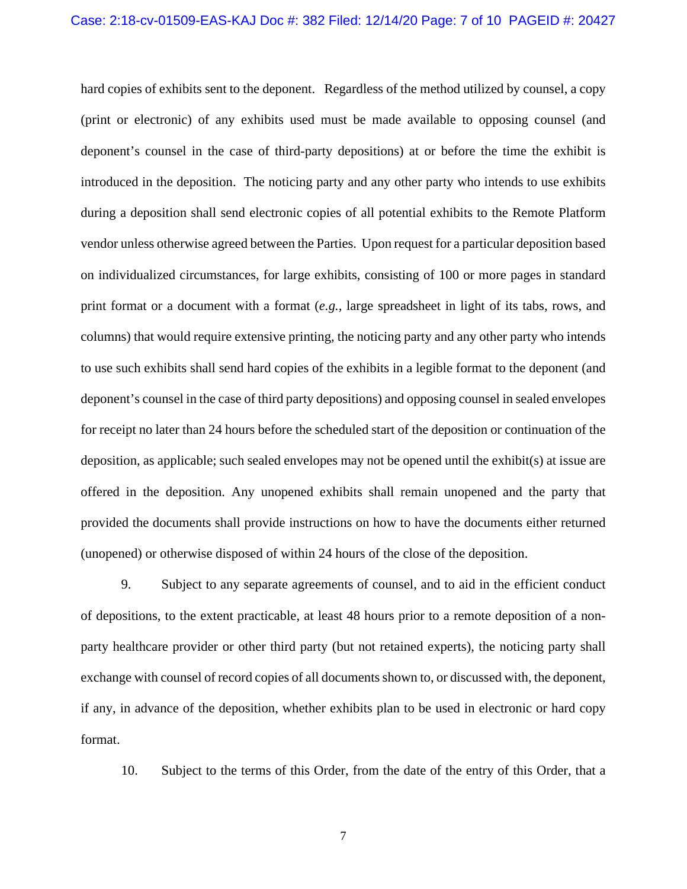hard copies of exhibits sent to the deponent. Regardless of the method utilized by counsel, a copy (print or electronic) of any exhibits used must be made available to opposing counsel (and deponent's counsel in the case of third-party depositions) at or before the time the exhibit is introduced in the deposition. The noticing party and any other party who intends to use exhibits during a deposition shall send electronic copies of all potential exhibits to the Remote Platform vendor unless otherwise agreed between the Parties. Upon request for a particular deposition based on individualized circumstances, for large exhibits, consisting of 100 or more pages in standard print format or a document with a format (*e.g.,* large spreadsheet in light of its tabs, rows, and columns) that would require extensive printing, the noticing party and any other party who intends to use such exhibits shall send hard copies of the exhibits in a legible format to the deponent (and deponent's counsel in the case of third party depositions) and opposing counsel in sealed envelopes for receipt no later than 24 hours before the scheduled start of the deposition or continuation of the deposition, as applicable; such sealed envelopes may not be opened until the exhibit(s) at issue are offered in the deposition. Any unopened exhibits shall remain unopened and the party that provided the documents shall provide instructions on how to have the documents either returned (unopened) or otherwise disposed of within 24 hours of the close of the deposition.

9. Subject to any separate agreements of counsel, and to aid in the efficient conduct of depositions, to the extent practicable, at least 48 hours prior to a remote deposition of a nonparty healthcare provider or other third party (but not retained experts), the noticing party shall exchange with counsel of record copies of all documents shown to, or discussed with, the deponent, if any, in advance of the deposition, whether exhibits plan to be used in electronic or hard copy format.

10. Subject to the terms of this Order, from the date of the entry of this Order, that a

7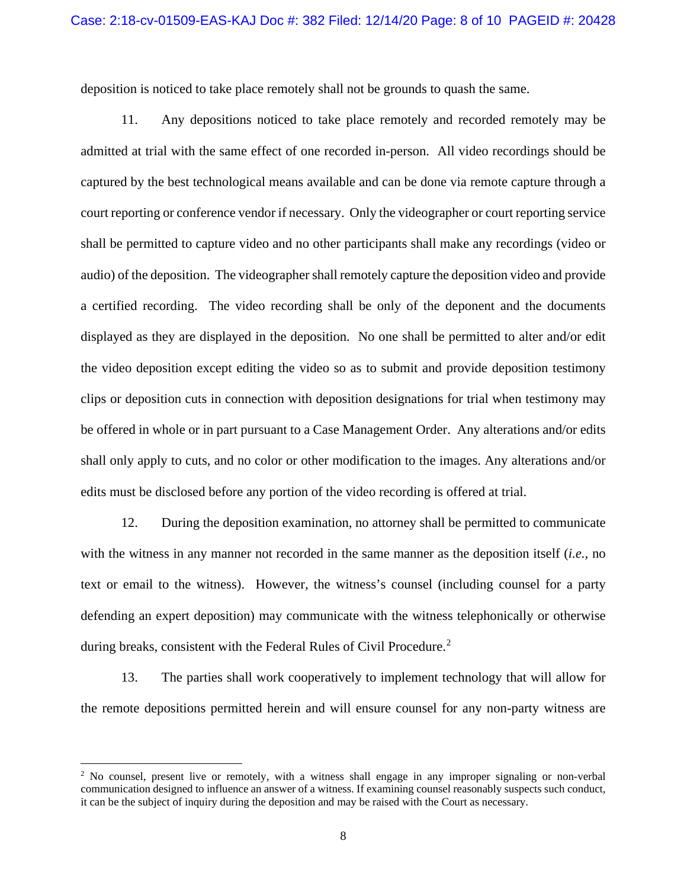deposition is noticed to take place remotely shall not be grounds to quash the same.

11. Any depositions noticed to take place remotely and recorded remotely may be admitted at trial with the same effect of one recorded in-person. All video recordings should be captured by the best technological means available and can be done via remote capture through a court reporting or conference vendor if necessary. Only the videographer or court reporting service shall be permitted to capture video and no other participants shall make any recordings (video or audio) of the deposition. The videographer shall remotely capture the deposition video and provide a certified recording. The video recording shall be only of the deponent and the documents displayed as they are displayed in the deposition. No one shall be permitted to alter and/or edit the video deposition except editing the video so as to submit and provide deposition testimony clips or deposition cuts in connection with deposition designations for trial when testimony may be offered in whole or in part pursuant to a Case Management Order. Any alterations and/or edits shall only apply to cuts, and no color or other modification to the images. Any alterations and/or edits must be disclosed before any portion of the video recording is offered at trial.

12. During the deposition examination, no attorney shall be permitted to communicate with the witness in any manner not recorded in the same manner as the deposition itself (*i.e.,* no text or email to the witness). However, the witness's counsel (including counsel for a party defending an expert deposition) may communicate with the witness telephonically or otherwise during breaks, consistent with the Federal Rules of Civil Procedure.<sup>[2](#page-7-0)</sup>

13. The parties shall work cooperatively to implement technology that will allow for the remote depositions permitted herein and will ensure counsel for any non-party witness are

<span id="page-7-0"></span><sup>&</sup>lt;sup>2</sup> No counsel, present live or remotely, with a witness shall engage in any improper signaling or non-verbal communication designed to influence an answer of a witness. If examining counsel reasonably suspects such conduct, it can be the subject of inquiry during the deposition and may be raised with the Court as necessary.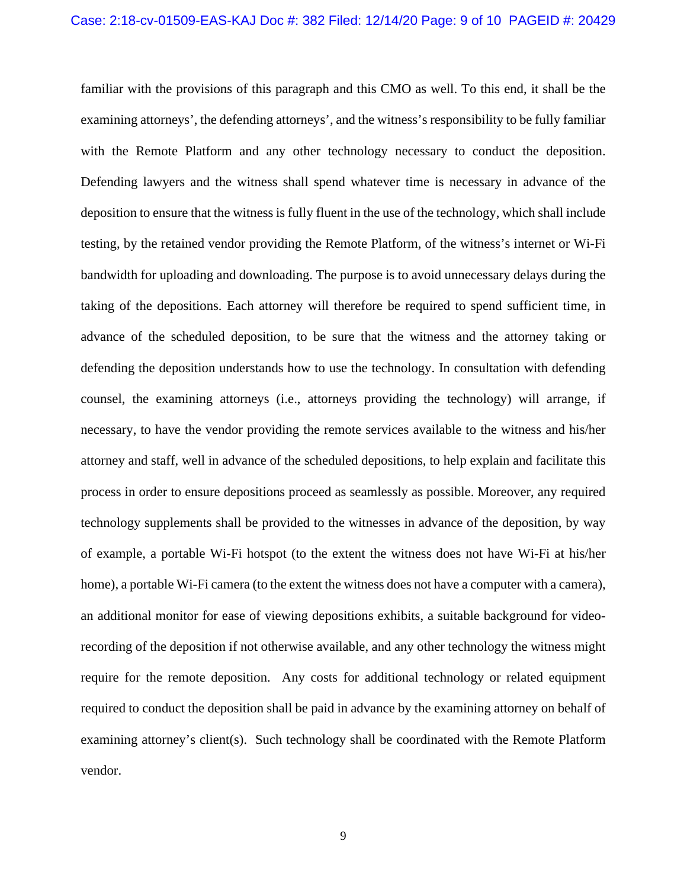familiar with the provisions of this paragraph and this CMO as well. To this end, it shall be the examining attorneys', the defending attorneys', and the witness's responsibility to be fully familiar with the Remote Platform and any other technology necessary to conduct the deposition. Defending lawyers and the witness shall spend whatever time is necessary in advance of the deposition to ensure that the witness is fully fluent in the use of the technology, which shall include testing, by the retained vendor providing the Remote Platform, of the witness's internet or Wi-Fi bandwidth for uploading and downloading. The purpose is to avoid unnecessary delays during the taking of the depositions. Each attorney will therefore be required to spend sufficient time, in advance of the scheduled deposition, to be sure that the witness and the attorney taking or defending the deposition understands how to use the technology. In consultation with defending counsel, the examining attorneys (i.e., attorneys providing the technology) will arrange, if necessary, to have the vendor providing the remote services available to the witness and his/her attorney and staff, well in advance of the scheduled depositions, to help explain and facilitate this process in order to ensure depositions proceed as seamlessly as possible. Moreover, any required technology supplements shall be provided to the witnesses in advance of the deposition, by way of example, a portable Wi-Fi hotspot (to the extent the witness does not have Wi-Fi at his/her home), a portable Wi-Fi camera (to the extent the witness does not have a computer with a camera), an additional monitor for ease of viewing depositions exhibits, a suitable background for videorecording of the deposition if not otherwise available, and any other technology the witness might require for the remote deposition. Any costs for additional technology or related equipment required to conduct the deposition shall be paid in advance by the examining attorney on behalf of examining attorney's client(s). Such technology shall be coordinated with the Remote Platform vendor.